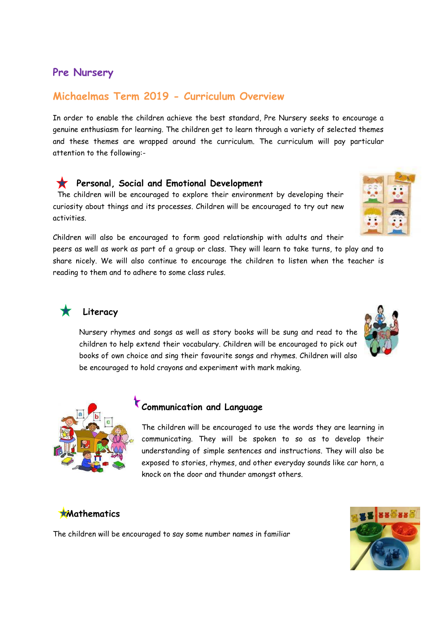## **Pre Nursery**

# **Michaelmas Term 2019 - Curriculum Overview**

In order to enable the children achieve the best standard, Pre Nursery seeks to encourage a genuine enthusiasm for learning. The children get to learn through a variety of selected themes and these themes are wrapped around the curriculum. The curriculum will pay particular attention to the following:-

#### **Personal, Social and Emotional Development**

 The children will be encouraged to explore their environment by developing their curiosity about things and its processes. Children will be encouraged to try out new activities.

Children will also be encouraged to form good relationship with adults and their peers as well as work as part of a group or class. They will learn to take turns, to play and to share nicely. We will also continue to encourage the children to listen when the teacher is reading to them and to adhere to some class rules.



### **Literacy**

Nursery rhymes and songs as well as story books will be sung and read to the children to help extend their vocabulary. Children will be encouraged to pick out books of own choice and sing their favourite songs and rhymes. Children will also be encouraged to hold crayons and experiment with mark making.



# **Communication and Language**

The children will be encouraged to use the words they are learning in communicating. They will be spoken to so as to develop their understanding of simple sentences and instructions. They will also be exposed to stories, rhymes, and other everyday sounds like car horn, a knock on the door and thunder amongst others.

## **Mathematics**

The children will be encouraged to say some number names in familiar